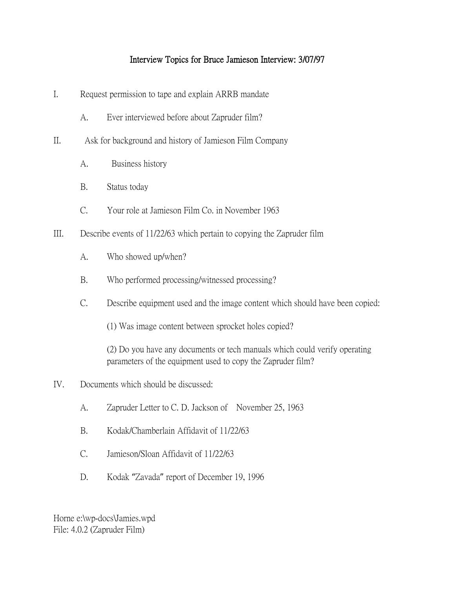## Interview Topics for Bruce Jamieson Interview: 3/07/97

- I. Request permission to tape and explain ARRB mandate
	- A. Ever interviewed before about Zapruder film?
- II. Ask for background and history of Jamieson Film Company
	- A. Business history
	- B. Status today
	- C. Your role at Jamieson Film Co. in November 1963
- III. Describe events of 11/22/63 which pertain to copying the Zapruder film
	- A. Who showed up/when?
	- B. Who performed processing/witnessed processing?
	- C. Describe equipment used and the image content which should have been copied:
		- (1) Was image content between sprocket holes copied?

(2) Do you have any documents or tech manuals which could verify operating parameters of the equipment used to copy the Zapruder film?

- IV. Documents which should be discussed:
	- A. Zapruder Letter to C. D. Jackson of November 25, 1963
	- B. Kodak/Chamberlain Affidavit of 11/22/63
	- C. Jamieson/Sloan Affidavit of 11/22/63
	- D. Kodak "Zavada" report of December 19, 1996

Horne e:\wp-docs\Jamies.wpd File: 4.0.2 (Zapruder Film)